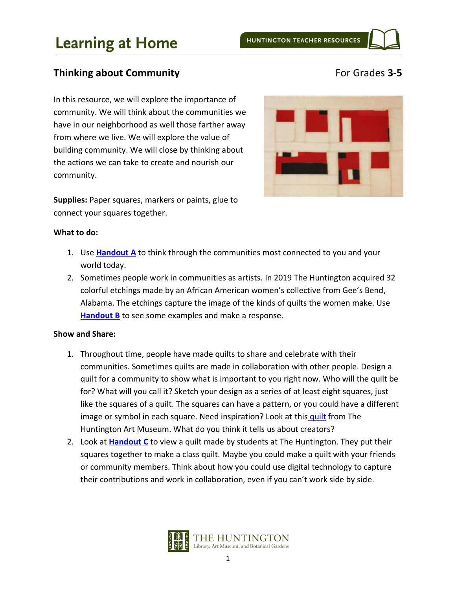### **Thinking about Community For Grades 3-5**

In this resource, we will explore the importance of community. We will think about the communities we have in our neighborhood as well those farther away from where we live. We will explore the value of building community. We will close by thinking about the actions we can take to create and nourish our community.

**Supplies:** Paper squares, markers or paints, glue to connect your squares together.



### **What to do:**

- 1. Use **[Handout](#page-2-0) A** to think through the communities most connected to you and your world today.
- 2. Sometimes people work in communities as artists. In 2019 The Huntington acquired 32 colorful etchings made by an African American women's collective from Gee's Bend, Alabama. The etchings capture the image of the kinds of quilts the women make. Use **[Handout](#page-4-0) B** to see some examples and make a response.

### **Show and Share:**

- 1. Throughout time, people have made quilts to share and celebrate with their communities. Sometimes quilts are made in collaboration with other people. Design a quilt for a community to show what is important to you right now. Who will the quilt be for? What will you call it? Sketch your design as a series of at least eight squares, just like the squares of a quilt. The squares can have a pattern, or you could have a different image or symbol in each square. Need inspiration? Look at this [quilt](https://huntington.emuseum.com/objects/57846/log-cabin-light-and-dark-quilt?ctx=ba4e2ea4645183baea281de347eef70b23940651&idx=221) from The Huntington Art Museum. What do you think it tells us about creators?
- 2. Look at **[Handout](#page-6-0) C** to view a quilt made by students at The Huntington. They put their squares together to make a class quilt. Maybe you could make a quilt with your friends or community members. Think about how you could use digital technology to capture their contributions and work in collaboration, even if you can't work side by side.

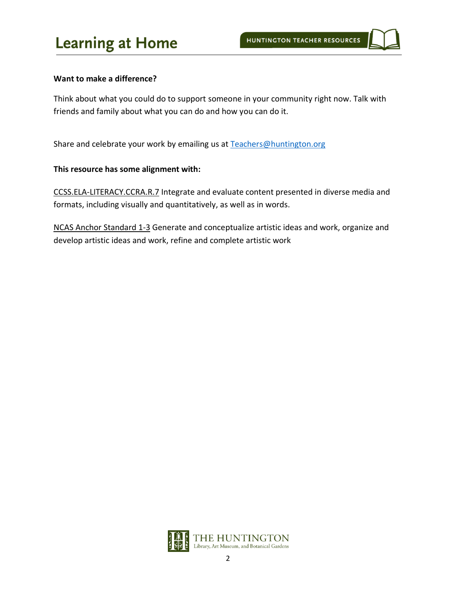#### **Want to make a difference?**

Think about what you could do to support someone in your community right now. Talk with friends and family about what you can do and how you can do it.

Share and celebrate your work by emailing us at [Teachers@huntington.org](mailto:Teachers@huntington.org)

#### **This resource has some alignment with:**

CCSS.ELA-LITERACY.CCRA.R.7 Integrate and evaluate content presented in diverse media and formats, including visually and quantitatively, as well as in words.

NCAS Anchor Standard 1-3 Generate and conceptualize artistic ideas and work, organize and develop artistic ideas and work, refine and complete artistic work

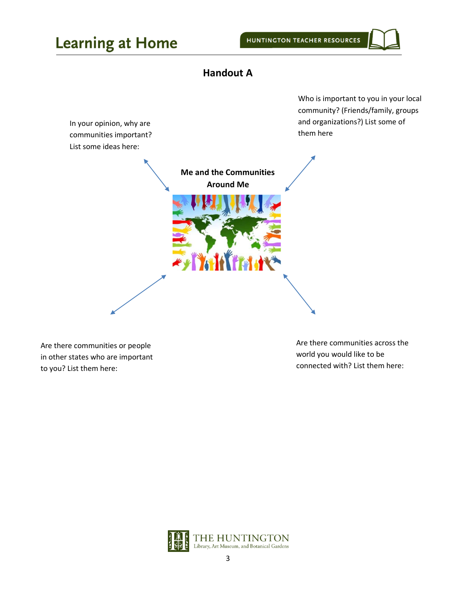## **Handout A**

<span id="page-2-0"></span>

Are there communities or people in other states who are important to you? List them here:

Are there communities across the world you would like to be connected with? List them here:

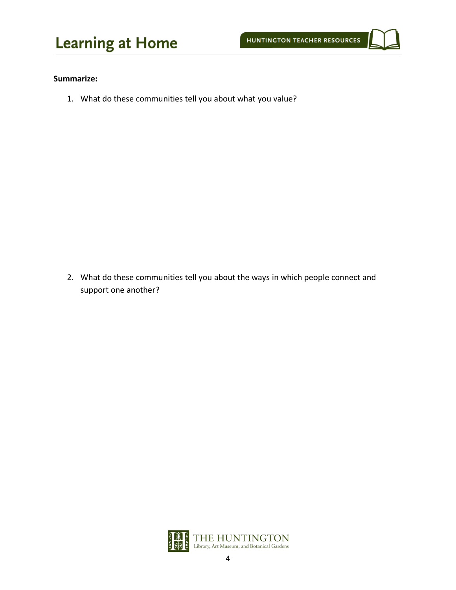

#### **Summarize:**

1. What do these communities tell you about what you value?

2. What do these communities tell you about the ways in which people connect and support one another?

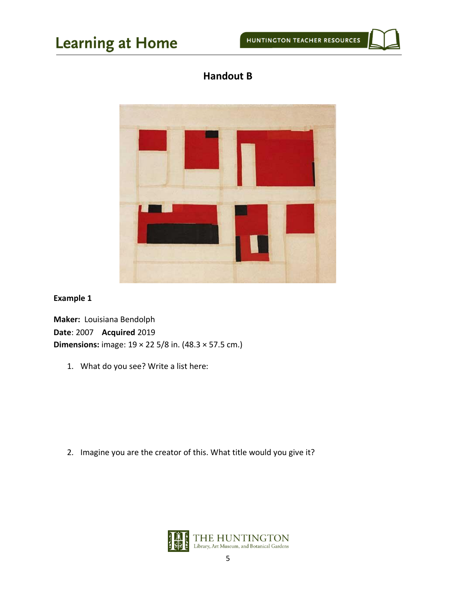### **Handout B**

<span id="page-4-0"></span>

### **Example 1**

**Maker:** Louisiana Bendolph **Date**: 2007 **Acquired** 2019 **Dimensions:** image: 19 × 22 5/8 in. (48.3 × 57.5 cm.)

1. What do you see? Write a list here:

2. Imagine you are the creator of this. What title would you give it?

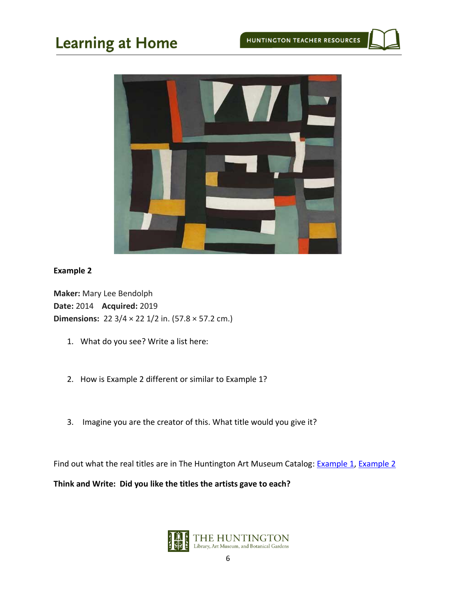

### **Example 2**

**Maker:** Mary Lee Bendolph **Date:** 2014 **Acquired:** 2019 **Dimensions:** 22 3/4 × 22 1/2 in. (57.8 × 57.2 cm.)

- 1. What do you see? Write a list here:
- 2. How is Example 2 different or similar to Example 1?
- 3. Imagine you are the creator of this. What title would you give it?

Find out what the real titles are in The Huntington Art Museum Catalog: [Example 1,](http://emuseum.huntington.org/objects/57989/shared-legacy?ctx=86791740-0ef4-4eab-aa26-93df8e56a72a&idx=79) [Example 2](http://emuseum.huntington.org/objects/58013/fields?ctx=b758347b-a870-49ed-9f15-6cd0aa26e5c1&idx=13)

**Think and Write: Did you like the titles the artists gave to each?**